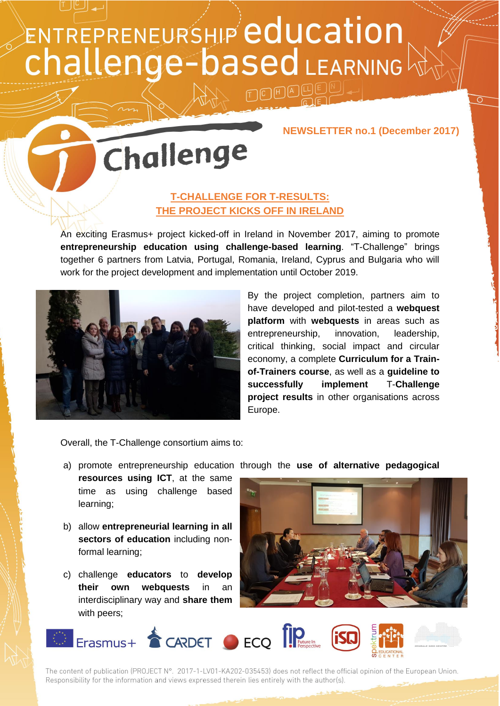# ENTREPRENEURSHIP education

**NEWSLETTER no.1 (December 2017)**

 $\overline{\Omega}$ 

### Challenge

#### **T-CHALLENGE FOR T-RESULTS: THE PROJECT KICKS OFF IN IRELAND**

**FIDEAL** 

An exciting Erasmus+ project kicked-off in Ireland in November 2017, aiming to promote **entrepreneurship education using challenge-based learning**. "T-Challenge" brings together 6 partners from Latvia, Portugal, Romania, Ireland, Cyprus and Bulgaria who will work for the project development and implementation until October 2019.



By the project completion, partners aim to have developed and pilot-tested a **webquest platform** with **webquests** in areas such as entrepreneurship, innovation, leadership, critical thinking, social impact and circular economy, a complete **Curriculum for a Trainof-Trainers course**, as well as a **guideline to successfully implement** T-**Challenge project results** in other organisations across Europe.

Overall, the T-Challenge consortium aims to:

- a) promote entrepreneurship education through the **use of alternative pedagogical**
- **resources using ICT**, at the same time as using challenge based learning;
- b) allow **entrepreneurial learning in all sectors of education** including nonformal learning;
- c) challenge **educators** to **develop their own webquests** in an interdisciplinary way and **share them** with peers;





The content of publication (PROJECT N°. 2017-1-LV01-KA202-035453) does not reflect the official opinion of the European Union. Responsibility for the information and views expressed therein lies entirely with the author(s).